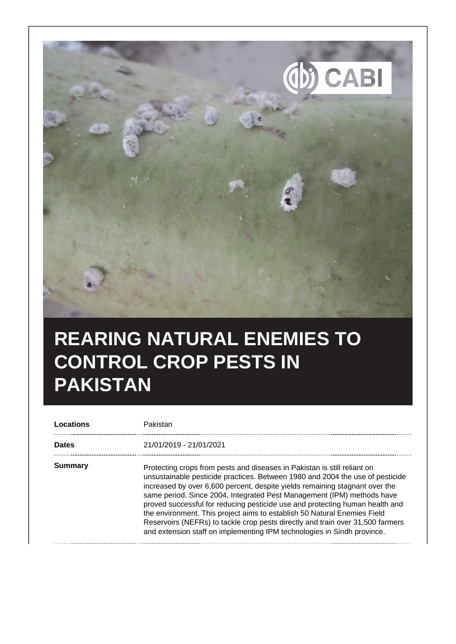

## **REARING NATURAL ENEMIES TO CONTROL CROP PESTS IN PAKISTAN**

| <b>Dates</b> | 21/01/2019 - 21/01/2021                                                                                                                                                                                                                                                                                                                                                                                                                                                                                                                                                                                                                     |
|--------------|---------------------------------------------------------------------------------------------------------------------------------------------------------------------------------------------------------------------------------------------------------------------------------------------------------------------------------------------------------------------------------------------------------------------------------------------------------------------------------------------------------------------------------------------------------------------------------------------------------------------------------------------|
| Summary      | Protecting crops from pests and diseases in Pakistan is still reliant on<br>unsustainable pesticide practices. Between 1980 and 2004 the use of pesticide<br>increased by over 6,600 percent, despite yields remaining stagnant over the<br>same period. Since 2004, Integrated Pest Management (IPM) methods have<br>proved successful for reducing pesticide use and protecting human health and<br>the environment. This project aims to establish 50 Natural Enemies Field<br>Reservoirs (NEFRs) to tackle crop pests directly and train over 31,500 farmers<br>and extension staff on implementing IPM technologies in Sindh province. |